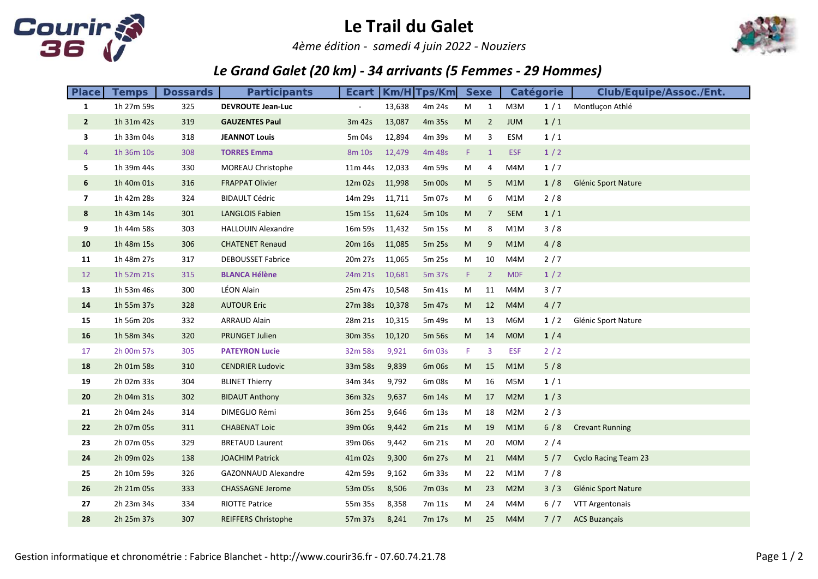

## Le Trail du Galet

4ème édition - samedi 4 juin 2022 - Nouziers



## Le Grand Galet (20 km) - 34 arrivants (5 Femmes - 29 Hommes)

| <b>Place</b>   | <b>Temps</b> | <b>Dossards</b> | <b>Participants</b>        | <b>Ecart</b>             |        | $Km/H$ Tps/Km |    | <b>Sexe</b><br><b>Catégorie</b> |            |       | <b>Club/Equipe/Assoc./Ent.</b> |
|----------------|--------------|-----------------|----------------------------|--------------------------|--------|---------------|----|---------------------------------|------------|-------|--------------------------------|
| $\mathbf{1}$   | 1h 27m 59s   | 325             | <b>DEVROUTE Jean-Luc</b>   | $\overline{\phantom{a}}$ | 13,638 | 4m 24s        | M  | $\mathbf{1}$                    | M3M        | 1/1   | Montluçon Athlé                |
| $\overline{2}$ | 1h 31m 42s   | 319             | <b>GAUZENTES Paul</b>      | 3m 42s                   | 13,087 | 4m 35s        | M  | $\overline{2}$                  | <b>JUM</b> | 1/1   |                                |
| 3              | 1h 33m 04s   | 318             | <b>JEANNOT Louis</b>       | 5m 04s                   | 12,894 | 4m 39s        | M  | 3                               | ESM        | 1/1   |                                |
| $\overline{4}$ | 1h 36m 10s   | 308             | <b>TORRES Emma</b>         | 8m 10s                   | 12,479 | 4m 48s        | F. | $\mathbf{1}$                    | <b>ESF</b> | 1/2   |                                |
| 5.             | 1h 39m 44s   | 330             | MOREAU Christophe          | 11m 44s                  | 12,033 | 4m 59s        | M  | 4                               | M4M        | 1/7   |                                |
| 6              | 1h 40m 01s   | 316             | <b>FRAPPAT Olivier</b>     | 12m 02s                  | 11,998 | 5m 00s        | M  | 5                               | M1M        | 1/8   | Glénic Sport Nature            |
| 7              | 1h 42m 28s   | 324             | <b>BIDAULT Cédric</b>      | 14m 29s                  | 11,711 | 5m 07s        | M  | 6                               | M1M        | 2/8   |                                |
| 8              | 1h 43m 14s   | 301             | <b>LANGLOIS Fabien</b>     | 15m 15s                  | 11,624 | 5m 10s        | M  | $\overline{7}$                  | <b>SEM</b> | 1/1   |                                |
| 9              | 1h 44m 58s   | 303             | <b>HALLOUIN Alexandre</b>  | 16m 59s                  | 11,432 | 5m 15s        | M  | 8                               | M1M        | 3/8   |                                |
| 10             | 1h 48m 15s   | 306             | <b>CHATENET Renaud</b>     | 20m 16s                  | 11,085 | 5m 25s        | M  | 9                               | M1M        | 4/8   |                                |
| 11             | 1h 48m 27s   | 317             | <b>DEBOUSSET Fabrice</b>   | 20m 27s                  | 11,065 | 5m 25s        | M  | 10                              | M4M        | $2/7$ |                                |
| 12             | 1h 52m 21s   | 315             | <b>BLANCA Hélène</b>       | 24m 21s                  | 10,681 | 5m 37s        | F. | $\overline{2}$                  | <b>MOF</b> | 1/2   |                                |
| 13             | 1h 53m 46s   | 300             | LÉON Alain                 | 25m 47s                  | 10,548 | 5m 41s        | M  | 11                              | M4M        | 3/7   |                                |
| 14             | 1h 55m 37s   | 328             | <b>AUTOUR Eric</b>         | 27m 38s                  | 10,378 | 5m 47s        | M  | 12                              | M4M        | 4/7   |                                |
| 15             | 1h 56m 20s   | 332             | <b>ARRAUD Alain</b>        | 28m 21s                  | 10,315 | 5m 49s        | M  | 13                              | M6M        | 1/2   | Glénic Sport Nature            |
| 16             | 1h 58m 34s   | 320             | <b>PRUNGET Julien</b>      | 30m 35s                  | 10,120 | 5m 56s        | M  | 14                              | <b>MOM</b> | 1/4   |                                |
| 17             | 2h 00m 57s   | 305             | <b>PATEYRON Lucie</b>      | 32m 58s                  | 9,921  | 6m 03s        | F  | $\overline{3}$                  | <b>ESF</b> | $2/2$ |                                |
| 18             | 2h 01m 58s   | 310             | <b>CENDRIER Ludovic</b>    | 33m 58s                  | 9,839  | 6m 06s        | M  | 15                              | M1M        | 5/8   |                                |
| 19             | 2h 02m 33s   | 304             | <b>BLINET Thierry</b>      | 34m 34s                  | 9,792  | 6m 08s        | M  | 16                              | M5M        | 1/1   |                                |
| 20             | 2h 04m 31s   | 302             | <b>BIDAUT Anthony</b>      | 36m 32s                  | 9,637  | 6m 14s        | M  | 17                              | M2M        | 1/3   |                                |
| 21             | 2h 04m 24s   | 314             | DIMEGLIO Rémi              | 36m 25s                  | 9,646  | 6m 13s        | M  | 18                              | M2M        | 2/3   |                                |
| 22             | 2h 07m 05s   | 311             | <b>CHABENAT Loic</b>       | 39m 06s                  | 9,442  | 6m 21s        | M  | 19                              | M1M        | 6/8   | <b>Crevant Running</b>         |
| 23             | 2h 07m 05s   | 329             | <b>BRETAUD Laurent</b>     | 39m 06s                  | 9,442  | 6m 21s        | M  | 20                              | <b>MOM</b> | 2/4   |                                |
| 24             | 2h 09m 02s   | 138             | <b>JOACHIM Patrick</b>     | 41m 02s                  | 9,300  | 6m 27s        | M  | 21                              | M4M        | 5/7   | <b>Cyclo Racing Team 23</b>    |
| 25             | 2h 10m 59s   | 326             | <b>GAZONNAUD Alexandre</b> | 42m 59s                  | 9,162  | 6m 33s        | M  | 22                              | M1M        | 7/8   |                                |
| 26             | 2h 21m 05s   | 333             | <b>CHASSAGNE Jerome</b>    | 53m 05s                  | 8,506  | 7m 03s        | M  | 23                              | M2M        | 3/3   | Glénic Sport Nature            |
| 27             | 2h 23m 34s   | 334             | <b>RIOTTE Patrice</b>      | 55m 35s                  | 8,358  | 7m 11s        | M  | 24                              | M4M        | 6/7   | VTT Argentonais                |
| 28             | 2h 25m 37s   | 307             | <b>REIFFERS Christophe</b> | 57m 37s                  | 8,241  | 7m 17s        | M  | 25                              | M4M        | 7/7   | <b>ACS Buzançais</b>           |